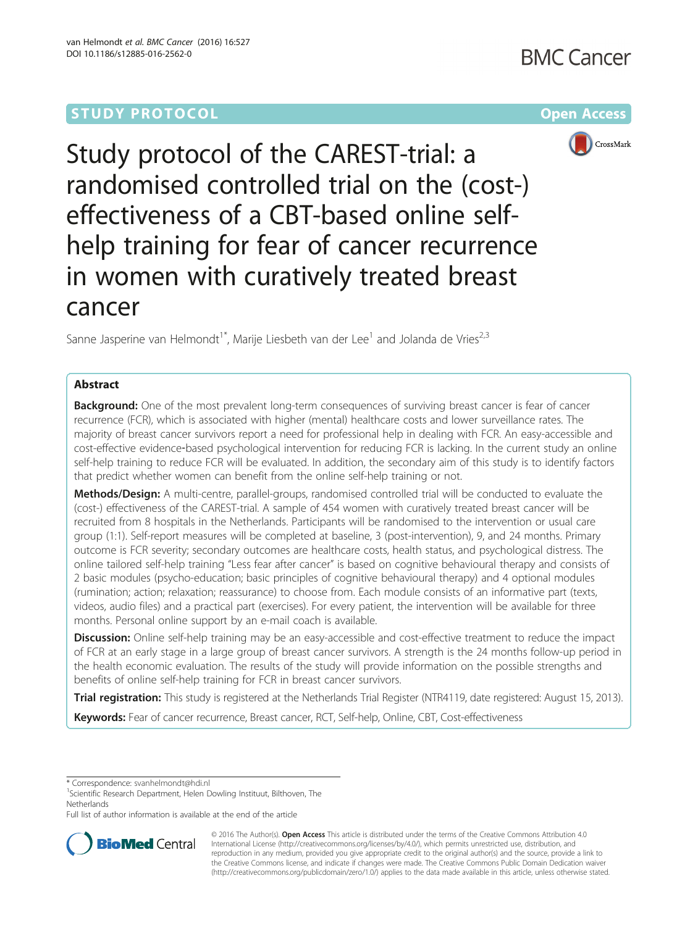# **STUDY PROTOCOL CONSUMING THE RESERVE ACCESS**





Study protocol of the CAREST-trial: a randomised controlled trial on the (cost-) effectiveness of a CBT-based online selfhelp training for fear of cancer recurrence in women with curatively treated breast cancer

Sanne Jasperine van Helmondt<sup>1\*</sup>, Marije Liesbeth van der Lee<sup>1</sup> and Jolanda de Vries<sup>2,3</sup>

# Abstract

**Background:** One of the most prevalent long-term consequences of surviving breast cancer is fear of cancer recurrence (FCR), which is associated with higher (mental) healthcare costs and lower surveillance rates. The majority of breast cancer survivors report a need for professional help in dealing with FCR. An easy-accessible and cost-effective evidence-based psychological intervention for reducing FCR is lacking. In the current study an online self-help training to reduce FCR will be evaluated. In addition, the secondary aim of this study is to identify factors that predict whether women can benefit from the online self-help training or not.

Methods/Design: A multi-centre, parallel-groups, randomised controlled trial will be conducted to evaluate the (cost-) effectiveness of the CAREST-trial. A sample of 454 women with curatively treated breast cancer will be recruited from 8 hospitals in the Netherlands. Participants will be randomised to the intervention or usual care group (1:1). Self-report measures will be completed at baseline, 3 (post-intervention), 9, and 24 months. Primary outcome is FCR severity; secondary outcomes are healthcare costs, health status, and psychological distress. The online tailored self-help training "Less fear after cancer" is based on cognitive behavioural therapy and consists of 2 basic modules (psycho-education; basic principles of cognitive behavioural therapy) and 4 optional modules (rumination; action; relaxation; reassurance) to choose from. Each module consists of an informative part (texts, videos, audio files) and a practical part (exercises). For every patient, the intervention will be available for three months. Personal online support by an e-mail coach is available.

Discussion: Online self-help training may be an easy-accessible and cost-effective treatment to reduce the impact of FCR at an early stage in a large group of breast cancer survivors. A strength is the 24 months follow-up period in the health economic evaluation. The results of the study will provide information on the possible strengths and benefits of online self-help training for FCR in breast cancer survivors.

Trial registration: This study is registered at the Netherlands Trial Register [\(NTR4119,](http://www.trialregister.nl/trialreg/admin/rctview.asp?TC=4119) date registered: August 15, 2013).

Keywords: Fear of cancer recurrence, Breast cancer, RCT, Self-help, Online, CBT, Cost-effectiveness

\* Correspondence: [svanhelmondt@hdi.nl](mailto:svanhelmondt@hdi.nl) <sup>1</sup>

<sup>1</sup>Scientific Research Department, Helen Dowling Instituut, Bilthoven, The **Netherlands** 

Full list of author information is available at the end of the article



© 2016 The Author(s). Open Access This article is distributed under the terms of the Creative Commons Attribution 4.0 International License [\(http://creativecommons.org/licenses/by/4.0/](http://creativecommons.org/licenses/by/4.0/)), which permits unrestricted use, distribution, and reproduction in any medium, provided you give appropriate credit to the original author(s) and the source, provide a link to the Creative Commons license, and indicate if changes were made. The Creative Commons Public Domain Dedication waiver [\(http://creativecommons.org/publicdomain/zero/1.0/](http://creativecommons.org/publicdomain/zero/1.0/)) applies to the data made available in this article, unless otherwise stated.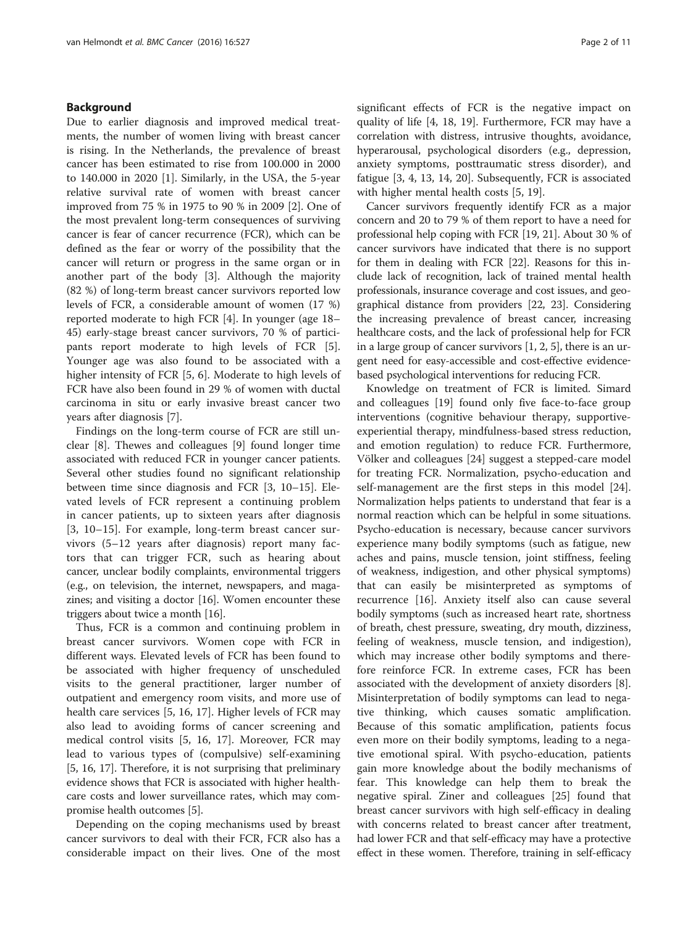# Background

Due to earlier diagnosis and improved medical treatments, the number of women living with breast cancer is rising. In the Netherlands, the prevalence of breast cancer has been estimated to rise from 100.000 in 2000 to 140.000 in 2020 [\[1\]](#page-8-0). Similarly, in the USA, the 5-year relative survival rate of women with breast cancer improved from 75 % in 1975 to 90 % in 2009 [[2\]](#page-8-0). One of the most prevalent long-term consequences of surviving cancer is fear of cancer recurrence (FCR), which can be defined as the fear or worry of the possibility that the cancer will return or progress in the same organ or in another part of the body [[3](#page-8-0)]. Although the majority (82 %) of long-term breast cancer survivors reported low levels of FCR, a considerable amount of women (17 %) reported moderate to high FCR [\[4](#page-8-0)]. In younger (age 18– 45) early-stage breast cancer survivors, 70 % of participants report moderate to high levels of FCR [\[5](#page-8-0)]. Younger age was also found to be associated with a higher intensity of FCR [[5, 6\]](#page-8-0). Moderate to high levels of FCR have also been found in 29 % of women with ductal carcinoma in situ or early invasive breast cancer two years after diagnosis [\[7](#page-8-0)].

Findings on the long-term course of FCR are still unclear [[8](#page-8-0)]. Thewes and colleagues [[9\]](#page-8-0) found longer time associated with reduced FCR in younger cancer patients. Several other studies found no significant relationship between time since diagnosis and FCR [\[3](#page-8-0), [10](#page-8-0)–[15\]](#page-8-0). Elevated levels of FCR represent a continuing problem in cancer patients, up to sixteen years after diagnosis [[3, 10](#page-8-0)–[15\]](#page-8-0). For example, long-term breast cancer survivors (5–12 years after diagnosis) report many factors that can trigger FCR, such as hearing about cancer, unclear bodily complaints, environmental triggers (e.g., on television, the internet, newspapers, and magazines; and visiting a doctor [\[16\]](#page-8-0). Women encounter these triggers about twice a month [[16](#page-8-0)].

Thus, FCR is a common and continuing problem in breast cancer survivors. Women cope with FCR in different ways. Elevated levels of FCR has been found to be associated with higher frequency of unscheduled visits to the general practitioner, larger number of outpatient and emergency room visits, and more use of health care services [[5](#page-8-0), [16](#page-8-0), [17](#page-9-0)]. Higher levels of FCR may also lead to avoiding forms of cancer screening and medical control visits [[5, 16,](#page-8-0) [17\]](#page-9-0). Moreover, FCR may lead to various types of (compulsive) self-examining [[5, 16](#page-8-0), [17](#page-9-0)]. Therefore, it is not surprising that preliminary evidence shows that FCR is associated with higher healthcare costs and lower surveillance rates, which may compromise health outcomes [\[5](#page-8-0)].

Depending on the coping mechanisms used by breast cancer survivors to deal with their FCR, FCR also has a considerable impact on their lives. One of the most significant effects of FCR is the negative impact on quality of life [[4,](#page-8-0) [18](#page-9-0), [19](#page-9-0)]. Furthermore, FCR may have a correlation with distress, intrusive thoughts, avoidance, hyperarousal, psychological disorders (e.g., depression, anxiety symptoms, posttraumatic stress disorder), and fatigue [\[3](#page-8-0), [4, 13, 14,](#page-8-0) [20\]](#page-9-0). Subsequently, FCR is associated with higher mental health costs [\[5](#page-8-0), [19\]](#page-9-0).

Cancer survivors frequently identify FCR as a major concern and 20 to 79 % of them report to have a need for professional help coping with FCR [[19](#page-9-0), [21\]](#page-9-0). About 30 % of cancer survivors have indicated that there is no support for them in dealing with FCR [\[22\]](#page-9-0). Reasons for this include lack of recognition, lack of trained mental health professionals, insurance coverage and cost issues, and geographical distance from providers [[22](#page-9-0), [23\]](#page-9-0). Considering the increasing prevalence of breast cancer, increasing healthcare costs, and the lack of professional help for FCR in a large group of cancer survivors [\[1, 2](#page-8-0), [5\]](#page-8-0), there is an urgent need for easy-accessible and cost-effective evidence‐ based psychological interventions for reducing FCR.

Knowledge on treatment of FCR is limited. Simard and colleagues [\[19\]](#page-9-0) found only five face-to-face group interventions (cognitive behaviour therapy, supportiveexperiential therapy, mindfulness-based stress reduction, and emotion regulation) to reduce FCR. Furthermore, Völker and colleagues [\[24](#page-9-0)] suggest a stepped-care model for treating FCR. Normalization, psycho-education and self-management are the first steps in this model [\[24](#page-9-0)]. Normalization helps patients to understand that fear is a normal reaction which can be helpful in some situations. Psycho-education is necessary, because cancer survivors experience many bodily symptoms (such as fatigue, new aches and pains, muscle tension, joint stiffness, feeling of weakness, indigestion, and other physical symptoms) that can easily be misinterpreted as symptoms of recurrence [[16](#page-8-0)]. Anxiety itself also can cause several bodily symptoms (such as increased heart rate, shortness of breath, chest pressure, sweating, dry mouth, dizziness, feeling of weakness, muscle tension, and indigestion), which may increase other bodily symptoms and therefore reinforce FCR. In extreme cases, FCR has been associated with the development of anxiety disorders [\[8](#page-8-0)]. Misinterpretation of bodily symptoms can lead to negative thinking, which causes somatic amplification. Because of this somatic amplification, patients focus even more on their bodily symptoms, leading to a negative emotional spiral. With psycho-education, patients gain more knowledge about the bodily mechanisms of fear. This knowledge can help them to break the negative spiral. Ziner and colleagues [[25\]](#page-9-0) found that breast cancer survivors with high self-efficacy in dealing with concerns related to breast cancer after treatment, had lower FCR and that self-efficacy may have a protective effect in these women. Therefore, training in self-efficacy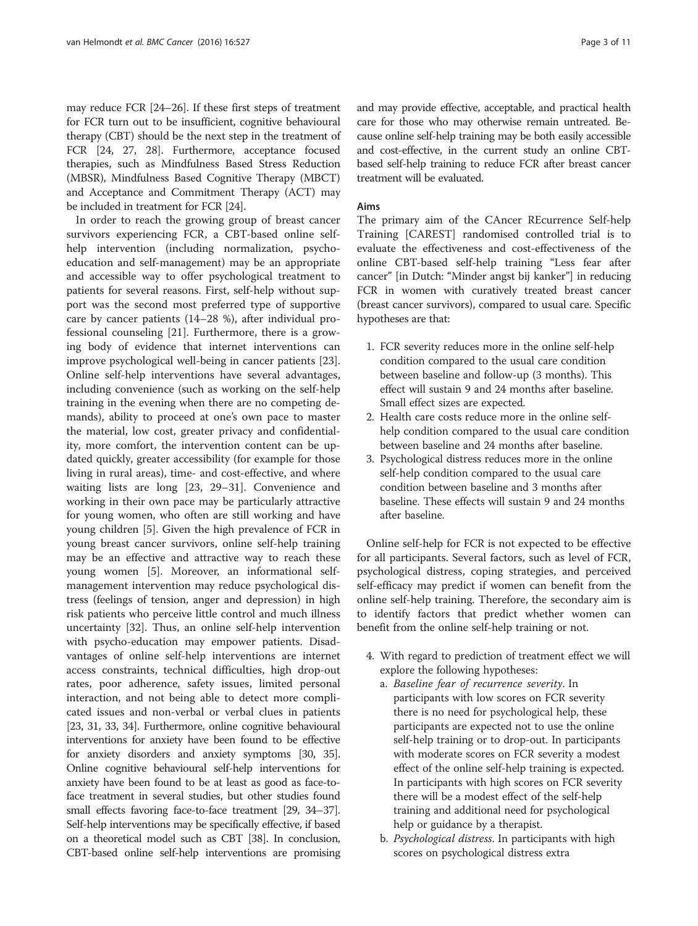may reduce FCR [[24](#page-9-0)–[26](#page-9-0)]. If these first steps of treatment for FCR turn out to be insufficient, cognitive behavioural therapy (CBT) should be the next step in the treatment of FCR [\[24, 27, 28](#page-9-0)]. Furthermore, acceptance focused therapies, such as Mindfulness Based Stress Reduction (MBSR), Mindfulness Based Cognitive Therapy (MBCT) and Acceptance and Commitment Therapy (ACT) may be included in treatment for FCR [\[24\]](#page-9-0).

In order to reach the growing group of breast cancer survivors experiencing FCR, a CBT-based online selfhelp intervention (including normalization, psychoeducation and self-management) may be an appropriate and accessible way to offer psychological treatment to patients for several reasons. First, self-help without support was the second most preferred type of supportive care by cancer patients (14–28 %), after individual professional counseling [\[21\]](#page-9-0). Furthermore, there is a growing body of evidence that internet interventions can improve psychological well-being in cancer patients [\[23](#page-9-0)]. Online self-help interventions have several advantages, including convenience (such as working on the self-help training in the evening when there are no competing demands), ability to proceed at one's own pace to master the material, low cost, greater privacy and confidentiality, more comfort, the intervention content can be updated quickly, greater accessibility (for example for those living in rural areas), time- and cost-effective, and where waiting lists are long [\[23, 29](#page-9-0)–[31\]](#page-9-0). Convenience and working in their own pace may be particularly attractive for young women, who often are still working and have young children [[5\]](#page-8-0). Given the high prevalence of FCR in young breast cancer survivors, online self-help training may be an effective and attractive way to reach these young women [[5\]](#page-8-0). Moreover, an informational selfmanagement intervention may reduce psychological distress (feelings of tension, anger and depression) in high risk patients who perceive little control and much illness uncertainty [\[32](#page-9-0)]. Thus, an online self-help intervention with psycho-education may empower patients. Disadvantages of online self-help interventions are internet access constraints, technical difficulties, high drop-out rates, poor adherence, safety issues, limited personal interaction, and not being able to detect more complicated issues and non-verbal or verbal clues in patients [[23](#page-9-0), [31](#page-9-0), [33](#page-9-0), [34](#page-9-0)]. Furthermore, online cognitive behavioural interventions for anxiety have been found to be effective for anxiety disorders and anxiety symptoms [[30](#page-9-0), [35](#page-9-0)]. Online cognitive behavioural self-help interventions for anxiety have been found to be at least as good as face-toface treatment in several studies, but other studies found small effects favoring face-to-face treatment [[29, 34](#page-9-0)–[37](#page-9-0)]. Self-help interventions may be specifically effective, if based on a theoretical model such as CBT [[38](#page-9-0)]. In conclusion, CBT-based online self-help interventions are promising and may provide effective, acceptable, and practical health care for those who may otherwise remain untreated. Because online self-help training may be both easily accessible and cost-effective, in the current study an online CBTbased self-help training to reduce FCR after breast cancer treatment will be evaluated.

# Aims

The primary aim of the CAncer REcurrence Self-help Training [CAREST] randomised controlled trial is to evaluate the effectiveness and cost-effectiveness of the online CBT-based self-help training "Less fear after cancer" [in Dutch: "Minder angst bij kanker"] in reducing FCR in women with curatively treated breast cancer (breast cancer survivors), compared to usual care. Specific hypotheses are that:

- 1. FCR severity reduces more in the online self-help condition compared to the usual care condition between baseline and follow-up (3 months). This effect will sustain 9 and 24 months after baseline. Small effect sizes are expected.
- 2. Health care costs reduce more in the online selfhelp condition compared to the usual care condition between baseline and 24 months after baseline.
- 3. Psychological distress reduces more in the online self-help condition compared to the usual care condition between baseline and 3 months after baseline. These effects will sustain 9 and 24 months after baseline.

Online self-help for FCR is not expected to be effective for all participants. Several factors, such as level of FCR, psychological distress, coping strategies, and perceived self-efficacy may predict if women can benefit from the online self-help training. Therefore, the secondary aim is to identify factors that predict whether women can benefit from the online self-help training or not.

- 4. With regard to prediction of treatment effect we will explore the following hypotheses:
	- a. Baseline fear of recurrence severity. In participants with low scores on FCR severity there is no need for psychological help, these participants are expected not to use the online self-help training or to drop-out. In participants with moderate scores on FCR severity a modest effect of the online self-help training is expected. In participants with high scores on FCR severity there will be a modest effect of the self-help training and additional need for psychological help or guidance by a therapist.
	- b. Psychological distress. In participants with high scores on psychological distress extra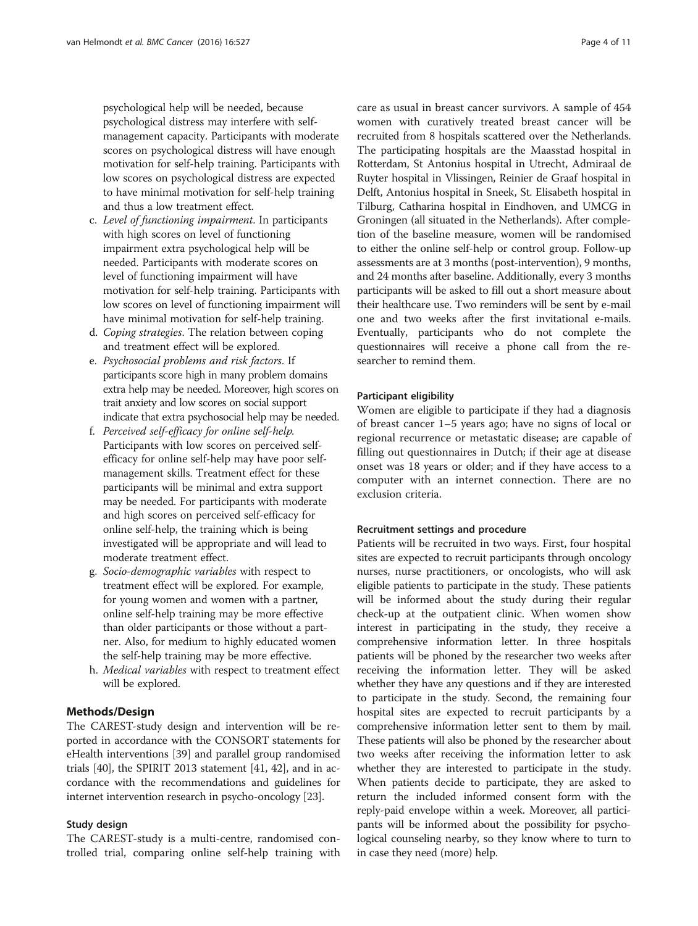psychological help will be needed, because psychological distress may interfere with selfmanagement capacity. Participants with moderate scores on psychological distress will have enough motivation for self-help training. Participants with low scores on psychological distress are expected to have minimal motivation for self-help training and thus a low treatment effect.

- c. Level of functioning impairment. In participants with high scores on level of functioning impairment extra psychological help will be needed. Participants with moderate scores on level of functioning impairment will have motivation for self-help training. Participants with low scores on level of functioning impairment will have minimal motivation for self-help training.
- d. Coping strategies. The relation between coping and treatment effect will be explored.
- e. Psychosocial problems and risk factors. If participants score high in many problem domains extra help may be needed. Moreover, high scores on trait anxiety and low scores on social support indicate that extra psychosocial help may be needed.
- f. Perceived self-efficacy for online self-help. Participants with low scores on perceived selfefficacy for online self-help may have poor selfmanagement skills. Treatment effect for these participants will be minimal and extra support may be needed. For participants with moderate and high scores on perceived self-efficacy for online self-help, the training which is being investigated will be appropriate and will lead to moderate treatment effect.
- g. Socio-demographic variables with respect to treatment effect will be explored. For example, for young women and women with a partner, online self-help training may be more effective than older participants or those without a partner. Also, for medium to highly educated women the self-help training may be more effective.
- h. Medical variables with respect to treatment effect will be explored.

#### Methods/Design

The CAREST-study design and intervention will be reported in accordance with the CONSORT statements for eHealth interventions [\[39\]](#page-9-0) and parallel group randomised trials [[40](#page-9-0)], the SPIRIT 2013 statement [[41](#page-9-0), [42](#page-9-0)], and in accordance with the recommendations and guidelines for internet intervention research in psycho-oncology [[23\]](#page-9-0).

# Study design

The CAREST-study is a multi-centre, randomised controlled trial, comparing online self-help training with care as usual in breast cancer survivors. A sample of 454 women with curatively treated breast cancer will be recruited from 8 hospitals scattered over the Netherlands. The participating hospitals are the Maasstad hospital in Rotterdam, St Antonius hospital in Utrecht, Admiraal de Ruyter hospital in Vlissingen, Reinier de Graaf hospital in Delft, Antonius hospital in Sneek, St. Elisabeth hospital in Tilburg, Catharina hospital in Eindhoven, and UMCG in Groningen (all situated in the Netherlands). After completion of the baseline measure, women will be randomised to either the online self-help or control group. Follow-up assessments are at 3 months (post-intervention), 9 months, and 24 months after baseline. Additionally, every 3 months participants will be asked to fill out a short measure about their healthcare use. Two reminders will be sent by e-mail one and two weeks after the first invitational e-mails. Eventually, participants who do not complete the questionnaires will receive a phone call from the researcher to remind them.

# Participant eligibility

Women are eligible to participate if they had a diagnosis of breast cancer 1–5 years ago; have no signs of local or regional recurrence or metastatic disease; are capable of filling out questionnaires in Dutch; if their age at disease onset was 18 years or older; and if they have access to a computer with an internet connection. There are no exclusion criteria.

#### Recruitment settings and procedure

Patients will be recruited in two ways. First, four hospital sites are expected to recruit participants through oncology nurses, nurse practitioners, or oncologists, who will ask eligible patients to participate in the study. These patients will be informed about the study during their regular check-up at the outpatient clinic. When women show interest in participating in the study, they receive a comprehensive information letter. In three hospitals patients will be phoned by the researcher two weeks after receiving the information letter. They will be asked whether they have any questions and if they are interested to participate in the study. Second, the remaining four hospital sites are expected to recruit participants by a comprehensive information letter sent to them by mail. These patients will also be phoned by the researcher about two weeks after receiving the information letter to ask whether they are interested to participate in the study. When patients decide to participate, they are asked to return the included informed consent form with the reply-paid envelope within a week. Moreover, all participants will be informed about the possibility for psychological counseling nearby, so they know where to turn to in case they need (more) help.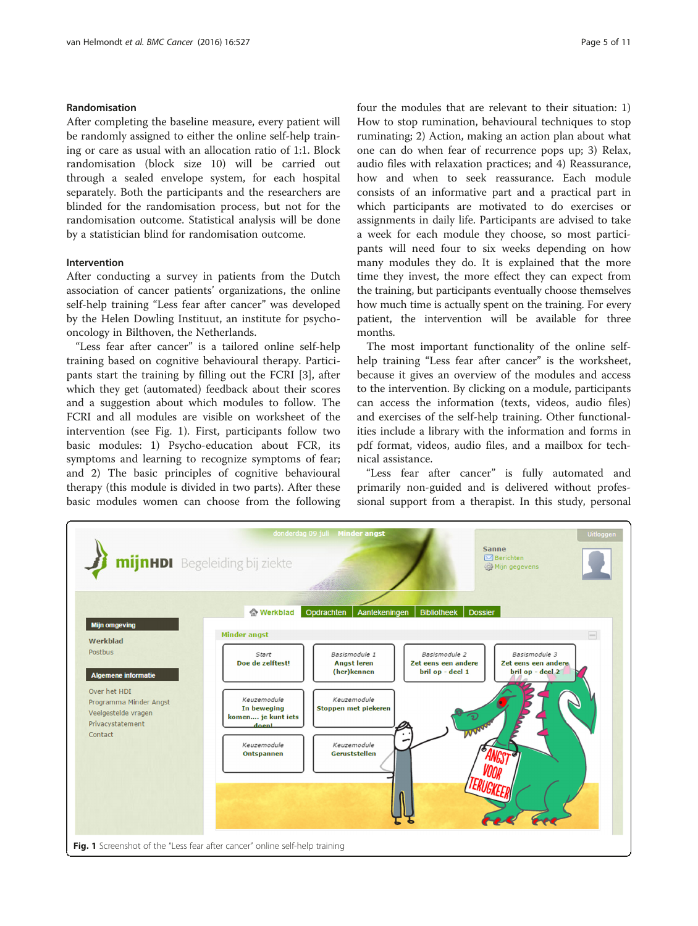# Randomisation

After completing the baseline measure, every patient will be randomly assigned to either the online self-help training or care as usual with an allocation ratio of 1:1. Block randomisation (block size 10) will be carried out through a sealed envelope system, for each hospital separately. Both the participants and the researchers are blinded for the randomisation process, but not for the randomisation outcome. Statistical analysis will be done by a statistician blind for randomisation outcome.

# Intervention

After conducting a survey in patients from the Dutch association of cancer patients' organizations, the online self-help training "Less fear after cancer" was developed by the Helen Dowling Instituut, an institute for psychooncology in Bilthoven, the Netherlands.

"Less fear after cancer" is a tailored online self-help training based on cognitive behavioural therapy. Participants start the training by filling out the FCRI [\[3](#page-8-0)], after which they get (automated) feedback about their scores and a suggestion about which modules to follow. The FCRI and all modules are visible on worksheet of the intervention (see Fig. 1). First, participants follow two basic modules: 1) Psycho-education about FCR, its symptoms and learning to recognize symptoms of fear; and 2) The basic principles of cognitive behavioural therapy (this module is divided in two parts). After these basic modules women can choose from the following

four the modules that are relevant to their situation: 1) How to stop rumination, behavioural techniques to stop ruminating; 2) Action, making an action plan about what one can do when fear of recurrence pops up; 3) Relax, audio files with relaxation practices; and 4) Reassurance, how and when to seek reassurance. Each module consists of an informative part and a practical part in which participants are motivated to do exercises or assignments in daily life. Participants are advised to take a week for each module they choose, so most participants will need four to six weeks depending on how many modules they do. It is explained that the more time they invest, the more effect they can expect from the training, but participants eventually choose themselves how much time is actually spent on the training. For every patient, the intervention will be available for three months.

The most important functionality of the online selfhelp training "Less fear after cancer" is the worksheet, because it gives an overview of the modules and access to the intervention. By clicking on a module, participants can access the information (texts, videos, audio files) and exercises of the self-help training. Other functionalities include a library with the information and forms in pdf format, videos, audio files, and a mailbox for technical assistance.

"Less fear after cancer" is fully automated and primarily non-guided and is delivered without professional support from a therapist. In this study, personal

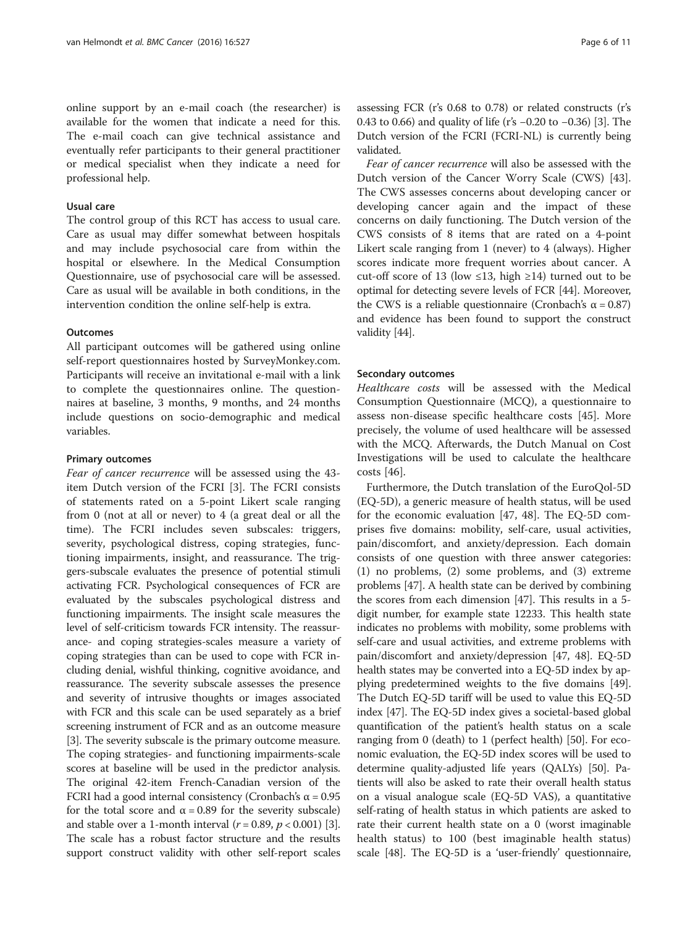online support by an e-mail coach (the researcher) is available for the women that indicate a need for this. The e-mail coach can give technical assistance and eventually refer participants to their general practitioner or medical specialist when they indicate a need for professional help.

# Usual care

The control group of this RCT has access to usual care. Care as usual may differ somewhat between hospitals and may include psychosocial care from within the hospital or elsewhere. In the Medical Consumption Questionnaire, use of psychosocial care will be assessed. Care as usual will be available in both conditions, in the intervention condition the online self-help is extra.

# **Outcomes**

All participant outcomes will be gathered using online self-report questionnaires hosted by SurveyMonkey.com. Participants will receive an invitational e-mail with a link to complete the questionnaires online. The questionnaires at baseline, 3 months, 9 months, and 24 months include questions on socio-demographic and medical variables.

# Primary outcomes

Fear of cancer recurrence will be assessed using the 43 item Dutch version of the FCRI [[3\]](#page-8-0). The FCRI consists of statements rated on a 5-point Likert scale ranging from 0 (not at all or never) to 4 (a great deal or all the time). The FCRI includes seven subscales: triggers, severity, psychological distress, coping strategies, functioning impairments, insight, and reassurance. The triggers-subscale evaluates the presence of potential stimuli activating FCR. Psychological consequences of FCR are evaluated by the subscales psychological distress and functioning impairments. The insight scale measures the level of self-criticism towards FCR intensity. The reassurance- and coping strategies-scales measure a variety of coping strategies than can be used to cope with FCR including denial, wishful thinking, cognitive avoidance, and reassurance. The severity subscale assesses the presence and severity of intrusive thoughts or images associated with FCR and this scale can be used separately as a brief screening instrument of FCR and as an outcome measure [[3\]](#page-8-0). The severity subscale is the primary outcome measure. The coping strategies- and functioning impairments-scale scores at baseline will be used in the predictor analysis. The original 42-item French-Canadian version of the FCRI had a good internal consistency (Cronbach's  $\alpha$  = 0.95 for the total score and  $\alpha = 0.89$  for the severity subscale) and stable over a 1-month interval  $(r = 0.89, p < 0.001)$  [[3](#page-8-0)]. The scale has a robust factor structure and the results support construct validity with other self-report scales assessing FCR (r's 0.68 to 0.78) or related constructs (r's 0.43 to 0.66) and quality of life (r's −0.20 to −0.36) [\[3\]](#page-8-0). The Dutch version of the FCRI (FCRI-NL) is currently being validated.

Fear of cancer recurrence will also be assessed with the Dutch version of the Cancer Worry Scale (CWS) [\[43](#page-9-0)]. The CWS assesses concerns about developing cancer or developing cancer again and the impact of these concerns on daily functioning. The Dutch version of the CWS consists of 8 items that are rated on a 4-point Likert scale ranging from 1 (never) to 4 (always). Higher scores indicate more frequent worries about cancer. A cut-off score of 13 (low  $\leq$ 13, high  $\geq$ 14) turned out to be optimal for detecting severe levels of FCR [\[44\]](#page-9-0). Moreover, the CWS is a reliable questionnaire (Cronbach's α = 0.87) and evidence has been found to support the construct validity [\[44\]](#page-9-0).

# Secondary outcomes

Healthcare costs will be assessed with the Medical Consumption Questionnaire (MCQ), a questionnaire to assess non-disease specific healthcare costs [\[45](#page-9-0)]. More precisely, the volume of used healthcare will be assessed with the MCQ. Afterwards, the Dutch Manual on Cost Investigations will be used to calculate the healthcare costs [\[46\]](#page-9-0).

Furthermore, the Dutch translation of the EuroQol-5D (EQ-5D), a generic measure of health status, will be used for the economic evaluation [[47](#page-9-0), [48](#page-9-0)]. The EQ-5D comprises five domains: mobility, self-care, usual activities, pain/discomfort, and anxiety/depression. Each domain consists of one question with three answer categories: (1) no problems, (2) some problems, and (3) extreme problems [[47](#page-9-0)]. A health state can be derived by combining the scores from each dimension [\[47\]](#page-9-0). This results in a 5 digit number, for example state 12233. This health state indicates no problems with mobility, some problems with self-care and usual activities, and extreme problems with pain/discomfort and anxiety/depression [[47](#page-9-0), [48](#page-9-0)]. EQ-5D health states may be converted into a EQ-5D index by applying predetermined weights to the five domains [[49](#page-9-0)]. The Dutch EQ-5D tariff will be used to value this EQ-5D index [[47](#page-9-0)]. The EQ-5D index gives a societal-based global quantification of the patient's health status on a scale ranging from 0 (death) to 1 (perfect health) [[50](#page-9-0)]. For economic evaluation, the EQ-5D index scores will be used to determine quality-adjusted life years (QALYs) [\[50\]](#page-9-0). Patients will also be asked to rate their overall health status on a visual analogue scale (EQ-5D VAS), a quantitative self-rating of health status in which patients are asked to rate their current health state on a 0 (worst imaginable health status) to 100 (best imaginable health status) scale [\[48](#page-9-0)]. The EQ-5D is a 'user-friendly' questionnaire,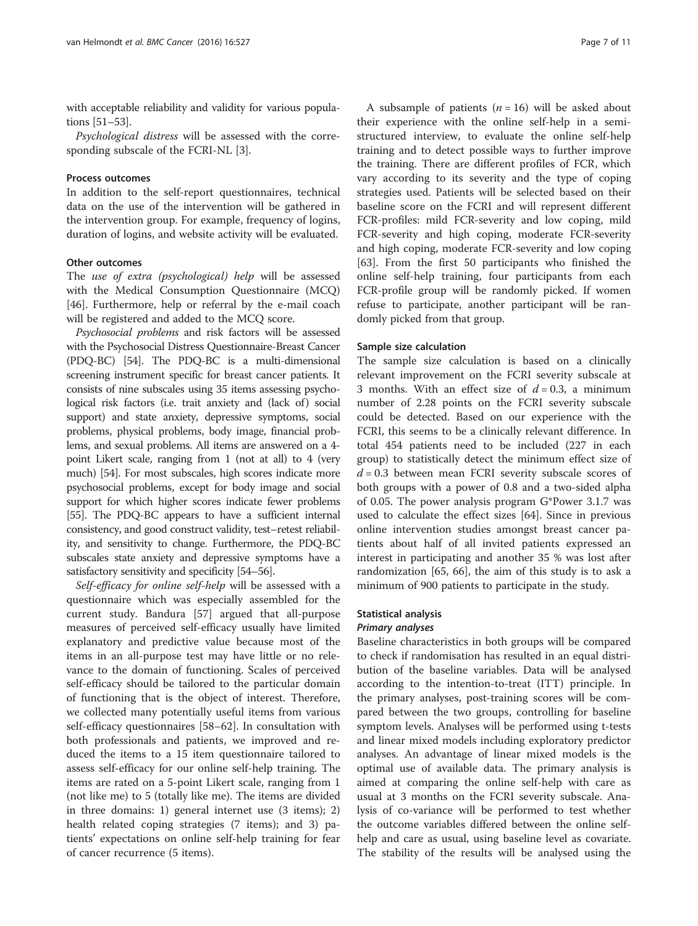with acceptable reliability and validity for various populations [\[51](#page-9-0)–[53](#page-9-0)].

Psychological distress will be assessed with the corresponding subscale of the FCRI-NL [\[3](#page-8-0)].

#### Process outcomes

In addition to the self-report questionnaires, technical data on the use of the intervention will be gathered in the intervention group. For example, frequency of logins, duration of logins, and website activity will be evaluated.

# Other outcomes

The use of extra (psychological) help will be assessed with the Medical Consumption Questionnaire (MCQ) [[46\]](#page-9-0). Furthermore, help or referral by the e-mail coach will be registered and added to the MCQ score.

Psychosocial problems and risk factors will be assessed with the Psychosocial Distress Questionnaire-Breast Cancer (PDQ-BC) [\[54\]](#page-9-0). The PDQ-BC is a multi-dimensional screening instrument specific for breast cancer patients. It consists of nine subscales using 35 items assessing psychological risk factors (i.e. trait anxiety and (lack of) social support) and state anxiety, depressive symptoms, social problems, physical problems, body image, financial problems, and sexual problems. All items are answered on a 4 point Likert scale, ranging from 1 (not at all) to 4 (very much) [[54\]](#page-9-0). For most subscales, high scores indicate more psychosocial problems, except for body image and social support for which higher scores indicate fewer problems [[55](#page-9-0)]. The PDQ-BC appears to have a sufficient internal consistency, and good construct validity, test–retest reliability, and sensitivity to change. Furthermore, the PDQ-BC subscales state anxiety and depressive symptoms have a satisfactory sensitivity and specificity [\[54](#page-9-0)–[56\]](#page-9-0).

Self-efficacy for online self-help will be assessed with a questionnaire which was especially assembled for the current study. Bandura [\[57\]](#page-9-0) argued that all-purpose measures of perceived self-efficacy usually have limited explanatory and predictive value because most of the items in an all-purpose test may have little or no relevance to the domain of functioning. Scales of perceived self-efficacy should be tailored to the particular domain of functioning that is the object of interest. Therefore, we collected many potentially useful items from various self-efficacy questionnaires [[58](#page-9-0)–[62\]](#page-10-0). In consultation with both professionals and patients, we improved and reduced the items to a 15 item questionnaire tailored to assess self-efficacy for our online self-help training. The items are rated on a 5-point Likert scale, ranging from 1 (not like me) to 5 (totally like me). The items are divided in three domains: 1) general internet use (3 items); 2) health related coping strategies (7 items); and 3) patients' expectations on online self-help training for fear of cancer recurrence (5 items).

A subsample of patients  $(n = 16)$  will be asked about their experience with the online self-help in a semistructured interview, to evaluate the online self-help training and to detect possible ways to further improve the training. There are different profiles of FCR, which vary according to its severity and the type of coping strategies used. Patients will be selected based on their baseline score on the FCRI and will represent different FCR-profiles: mild FCR-severity and low coping, mild FCR-severity and high coping, moderate FCR-severity and high coping, moderate FCR-severity and low coping [[63\]](#page-10-0). From the first 50 participants who finished the online self-help training, four participants from each FCR-profile group will be randomly picked. If women refuse to participate, another participant will be randomly picked from that group.

#### Sample size calculation

The sample size calculation is based on a clinically relevant improvement on the FCRI severity subscale at 3 months. With an effect size of  $d = 0.3$ , a minimum number of 2.28 points on the FCRI severity subscale could be detected. Based on our experience with the FCRI, this seems to be a clinically relevant difference. In total 454 patients need to be included (227 in each group) to statistically detect the minimum effect size of  $d = 0.3$  between mean FCRI severity subscale scores of both groups with a power of 0.8 and a two-sided alpha of 0.05. The power analysis program G\*Power 3.1.7 was used to calculate the effect sizes [[64](#page-10-0)]. Since in previous online intervention studies amongst breast cancer patients about half of all invited patients expressed an interest in participating and another 35 % was lost after randomization [\[65, 66](#page-10-0)], the aim of this study is to ask a minimum of 900 patients to participate in the study.

# Statistical analysis

# Primary analyses

Baseline characteristics in both groups will be compared to check if randomisation has resulted in an equal distribution of the baseline variables. Data will be analysed according to the intention-to-treat (ITT) principle. In the primary analyses, post-training scores will be compared between the two groups, controlling for baseline symptom levels. Analyses will be performed using t-tests and linear mixed models including exploratory predictor analyses. An advantage of linear mixed models is the optimal use of available data. The primary analysis is aimed at comparing the online self-help with care as usual at 3 months on the FCRI severity subscale. Analysis of co-variance will be performed to test whether the outcome variables differed between the online selfhelp and care as usual, using baseline level as covariate. The stability of the results will be analysed using the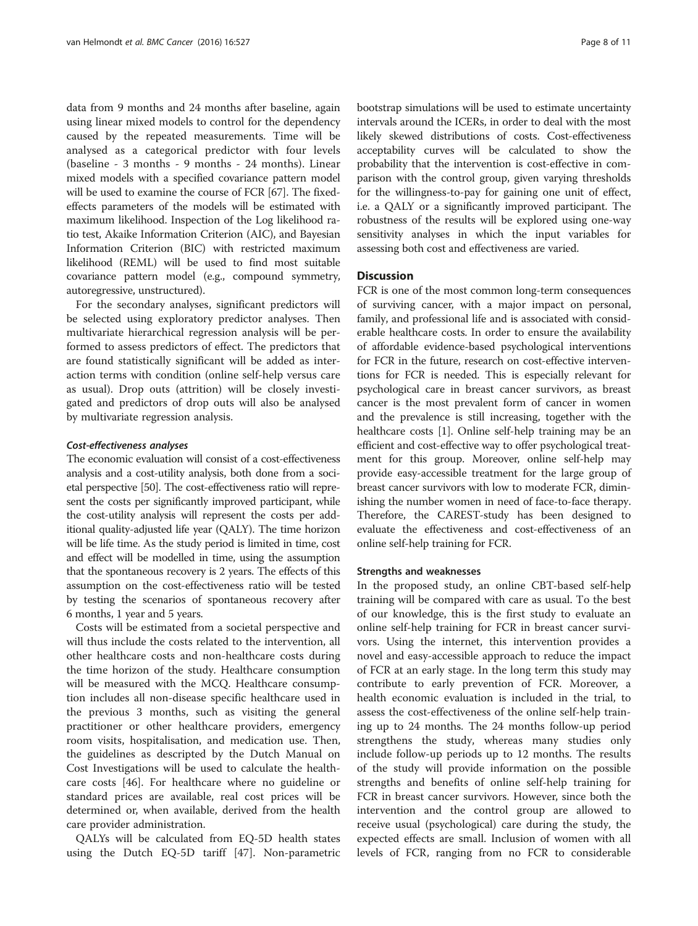data from 9 months and 24 months after baseline, again using linear mixed models to control for the dependency caused by the repeated measurements. Time will be analysed as a categorical predictor with four levels (baseline - 3 months - 9 months - 24 months). Linear mixed models with a specified covariance pattern model will be used to examine the course of FCR [[67](#page-10-0)]. The fixedeffects parameters of the models will be estimated with maximum likelihood. Inspection of the Log likelihood ratio test, Akaike Information Criterion (AIC), and Bayesian Information Criterion (BIC) with restricted maximum likelihood (REML) will be used to find most suitable covariance pattern model (e.g., compound symmetry, autoregressive, unstructured).

For the secondary analyses, significant predictors will be selected using exploratory predictor analyses. Then multivariate hierarchical regression analysis will be performed to assess predictors of effect. The predictors that are found statistically significant will be added as interaction terms with condition (online self-help versus care as usual). Drop outs (attrition) will be closely investigated and predictors of drop outs will also be analysed by multivariate regression analysis.

#### Cost-effectiveness analyses

The economic evaluation will consist of a cost-effectiveness analysis and a cost-utility analysis, both done from a societal perspective [\[50](#page-9-0)]. The cost-effectiveness ratio will represent the costs per significantly improved participant, while the cost-utility analysis will represent the costs per additional quality-adjusted life year (QALY). The time horizon will be life time. As the study period is limited in time, cost and effect will be modelled in time, using the assumption that the spontaneous recovery is 2 years. The effects of this assumption on the cost-effectiveness ratio will be tested by testing the scenarios of spontaneous recovery after 6 months, 1 year and 5 years.

Costs will be estimated from a societal perspective and will thus include the costs related to the intervention, all other healthcare costs and non-healthcare costs during the time horizon of the study. Healthcare consumption will be measured with the MCQ. Healthcare consumption includes all non-disease specific healthcare used in the previous 3 months, such as visiting the general practitioner or other healthcare providers, emergency room visits, hospitalisation, and medication use. Then, the guidelines as descripted by the Dutch Manual on Cost Investigations will be used to calculate the healthcare costs [\[46](#page-9-0)]. For healthcare where no guideline or standard prices are available, real cost prices will be determined or, when available, derived from the health care provider administration.

QALYs will be calculated from EQ-5D health states using the Dutch EQ-5D tariff [[47\]](#page-9-0). Non-parametric

bootstrap simulations will be used to estimate uncertainty intervals around the ICERs, in order to deal with the most likely skewed distributions of costs. Cost-effectiveness acceptability curves will be calculated to show the probability that the intervention is cost-effective in comparison with the control group, given varying thresholds for the willingness-to-pay for gaining one unit of effect, i.e. a QALY or a significantly improved participant. The robustness of the results will be explored using one-way sensitivity analyses in which the input variables for assessing both cost and effectiveness are varied.

# **Discussion**

FCR is one of the most common long-term consequences of surviving cancer, with a major impact on personal, family, and professional life and is associated with considerable healthcare costs. In order to ensure the availability of affordable evidence-based psychological interventions for FCR in the future, research on cost-effective interventions for FCR is needed. This is especially relevant for psychological care in breast cancer survivors, as breast cancer is the most prevalent form of cancer in women and the prevalence is still increasing, together with the healthcare costs [[1\]](#page-8-0). Online self-help training may be an efficient and cost-effective way to offer psychological treatment for this group. Moreover, online self-help may provide easy-accessible treatment for the large group of breast cancer survivors with low to moderate FCR, diminishing the number women in need of face-to-face therapy. Therefore, the CAREST-study has been designed to evaluate the effectiveness and cost-effectiveness of an online self-help training for FCR.

#### Strengths and weaknesses

In the proposed study, an online CBT-based self-help training will be compared with care as usual. To the best of our knowledge, this is the first study to evaluate an online self-help training for FCR in breast cancer survivors. Using the internet, this intervention provides a novel and easy-accessible approach to reduce the impact of FCR at an early stage. In the long term this study may contribute to early prevention of FCR. Moreover, a health economic evaluation is included in the trial, to assess the cost-effectiveness of the online self-help training up to 24 months. The 24 months follow-up period strengthens the study, whereas many studies only include follow-up periods up to 12 months. The results of the study will provide information on the possible strengths and benefits of online self-help training for FCR in breast cancer survivors. However, since both the intervention and the control group are allowed to receive usual (psychological) care during the study, the expected effects are small. Inclusion of women with all levels of FCR, ranging from no FCR to considerable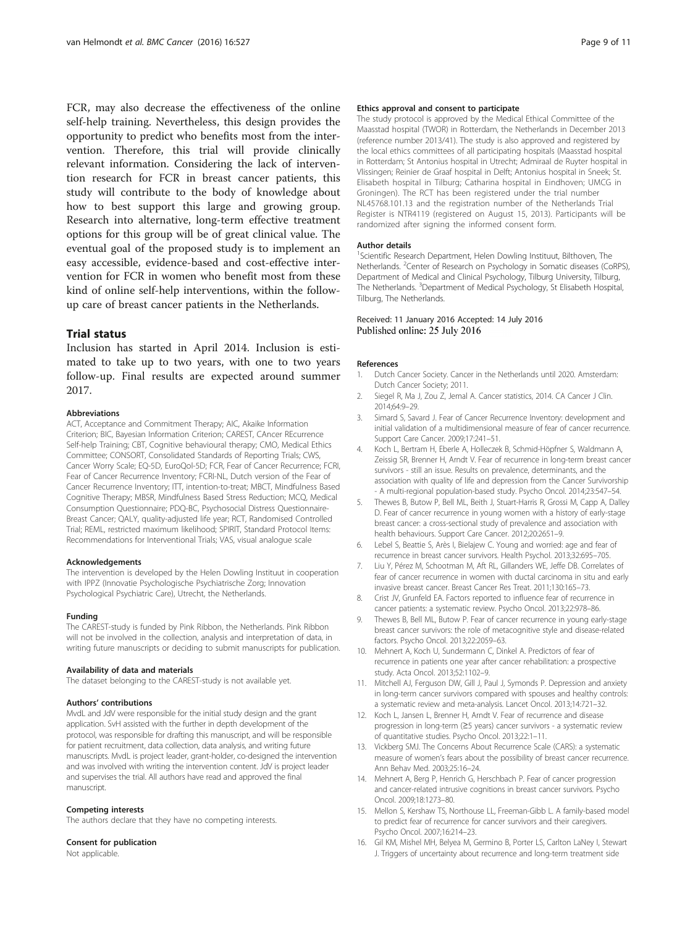<span id="page-8-0"></span>FCR, may also decrease the effectiveness of the online self-help training. Nevertheless, this design provides the opportunity to predict who benefits most from the intervention. Therefore, this trial will provide clinically relevant information. Considering the lack of intervention research for FCR in breast cancer patients, this study will contribute to the body of knowledge about how to best support this large and growing group. Research into alternative, long-term effective treatment options for this group will be of great clinical value. The eventual goal of the proposed study is to implement an easy accessible, evidence-based and cost-effective intervention for FCR in women who benefit most from these kind of online self-help interventions, within the followup care of breast cancer patients in the Netherlands.

# Trial status

Inclusion has started in April 2014. Inclusion is estimated to take up to two years, with one to two years follow-up. Final results are expected around summer 2017.

#### Abbreviations

ACT, Acceptance and Commitment Therapy; AIC, Akaike Information Criterion; BIC, Bayesian Information Criterion; CAREST, CAncer REcurrence Self-help Training; CBT, Cognitive behavioural therapy; CMO, Medical Ethics Committee; CONSORT, Consolidated Standards of Reporting Trials; CWS, Cancer Worry Scale; EQ-5D, EuroQol-5D; FCR, Fear of Cancer Recurrence; FCRI, Fear of Cancer Recurrence Inventory; FCRI-NL, Dutch version of the Fear of Cancer Recurrence Inventory; ITT, intention-to-treat; MBCT, Mindfulness Based Cognitive Therapy; MBSR, Mindfulness Based Stress Reduction; MCQ, Medical Consumption Questionnaire; PDQ-BC, Psychosocial Distress Questionnaire-Breast Cancer; QALY, quality-adjusted life year; RCT, Randomised Controlled Trial; REML, restricted maximum likelihood; SPIRIT, Standard Protocol Items: Recommendations for Interventional Trials; VAS, visual analogue scale

#### Acknowledgements

The intervention is developed by the Helen Dowling Instituut in cooperation with IPPZ (Innovatie Psychologische Psychiatrische Zorg; Innovation Psychological Psychiatric Care), Utrecht, the Netherlands.

#### Funding

The CAREST-study is funded by Pink Ribbon, the Netherlands. Pink Ribbon will not be involved in the collection, analysis and interpretation of data, in writing future manuscripts or deciding to submit manuscripts for publication.

#### Availability of data and materials

The dataset belonging to the CAREST-study is not available yet.

#### Authors' contributions

MvdL and JdV were responsible for the initial study design and the grant application. SvH assisted with the further in depth development of the protocol, was responsible for drafting this manuscript, and will be responsible for patient recruitment, data collection, data analysis, and writing future manuscripts. MvdL is project leader, grant-holder, co-designed the intervention and was involved with writing the intervention content. JdV is project leader and supervises the trial. All authors have read and approved the final manuscript.

#### Competing interests

The authors declare that they have no competing interests.

#### Consent for publication

Not applicable.

# Ethics approval and consent to participate

The study protocol is approved by the Medical Ethical Committee of the Maasstad hospital (TWOR) in Rotterdam, the Netherlands in December 2013 (reference number 2013/41). The study is also approved and registered by the local ethics committees of all participating hospitals (Maasstad hospital in Rotterdam; St Antonius hospital in Utrecht; Admiraal de Ruyter hospital in Vlissingen; Reinier de Graaf hospital in Delft; Antonius hospital in Sneek; St. Elisabeth hospital in Tilburg; Catharina hospital in Eindhoven; UMCG in Groningen). The RCT has been registered under the trial number NL45768.101.13 and the registration number of the Netherlands Trial Register is NTR4119 (registered on August 15, 2013). Participants will be randomized after signing the informed consent form.

#### Author details

<sup>1</sup>Scientific Research Department, Helen Dowling Instituut, Bilthoven, The Netherlands. <sup>2</sup>Center of Research on Psychology in Somatic diseases (CoRPS), Department of Medical and Clinical Psychology, Tilburg University, Tilburg, The Netherlands. <sup>3</sup>Department of Medical Psychology, St Elisabeth Hospital, Tilburg, The Netherlands.

# Received: 11 January 2016 Accepted: 14 July 2016 Published online: 25 July 2016

#### References

- 1. Dutch Cancer Society. Cancer in the Netherlands until 2020. Amsterdam: Dutch Cancer Society; 2011.
- 2. Siegel R, Ma J, Zou Z, Jemal A. Cancer statistics, 2014. CA Cancer J Clin. 2014;64:9–29.
- 3. Simard S, Savard J. Fear of Cancer Recurrence Inventory: development and initial validation of a multidimensional measure of fear of cancer recurrence. Support Care Cancer. 2009;17:241–51.
- 4. Koch L, Bertram H, Eberle A, Holleczek B, Schmid-Höpfner S, Waldmann A, Zeissig SR, Brenner H, Arndt V. Fear of recurrence in long-term breast cancer survivors - still an issue. Results on prevalence, determinants, and the association with quality of life and depression from the Cancer Survivorship - A multi-regional population-based study. Psycho Oncol. 2014;23:547–54.
- 5. Thewes B, Butow P, Bell ML, Beith J, Stuart-Harris R, Grossi M, Capp A, Dalley D. Fear of cancer recurrence in young women with a history of early-stage breast cancer: a cross-sectional study of prevalence and association with health behaviours. Support Care Cancer. 2012;20:2651–9.
- 6. Lebel S, Beattie S, Arès I, Bielajew C. Young and worried: age and fear of recurrence in breast cancer survivors. Health Psychol. 2013;32:695–705.
- 7. Liu Y, Pérez M, Schootman M, Aft RL, Gillanders WE, Jeffe DB. Correlates of fear of cancer recurrence in women with ductal carcinoma in situ and early invasive breast cancer. Breast Cancer Res Treat. 2011;130:165–73.
- 8. Crist JV, Grunfeld EA. Factors reported to influence fear of recurrence in cancer patients: a systematic review. Psycho Oncol. 2013;22:978–86.
- 9. Thewes B, Bell ML, Butow P. Fear of cancer recurrence in young early-stage breast cancer survivors: the role of metacognitive style and disease-related factors. Psycho Oncol. 2013;22:2059–63.
- 10. Mehnert A, Koch U, Sundermann C, Dinkel A. Predictors of fear of recurrence in patients one year after cancer rehabilitation: a prospective study. Acta Oncol. 2013;52:1102–9.
- 11. Mitchell AJ, Ferguson DW, Gill J, Paul J, Symonds P. Depression and anxiety in long-term cancer survivors compared with spouses and healthy controls: a systematic review and meta-analysis. Lancet Oncol. 2013;14:721–32.
- 12. Koch L, Jansen L, Brenner H, Arndt V. Fear of recurrence and disease progression in long-term (≥5 years) cancer survivors - a systematic review of quantitative studies. Psycho Oncol. 2013;22:1–11.
- 13. Vickberg SMJ. The Concerns About Recurrence Scale (CARS): a systematic measure of women's fears about the possibility of breast cancer recurrence. Ann Behav Med. 2003;25:16–24.
- 14. Mehnert A, Berg P, Henrich G, Herschbach P. Fear of cancer progression and cancer-related intrusive cognitions in breast cancer survivors. Psycho Oncol. 2009;18:1273–80.
- 15. Mellon S, Kershaw TS, Northouse LL, Freeman-Gibb L. A family-based model to predict fear of recurrence for cancer survivors and their caregivers. Psycho Oncol. 2007;16:214–23.
- 16. Gil KM, Mishel MH, Belyea M, Germino B, Porter LS, Carlton LaNey I, Stewart J. Triggers of uncertainty about recurrence and long-term treatment side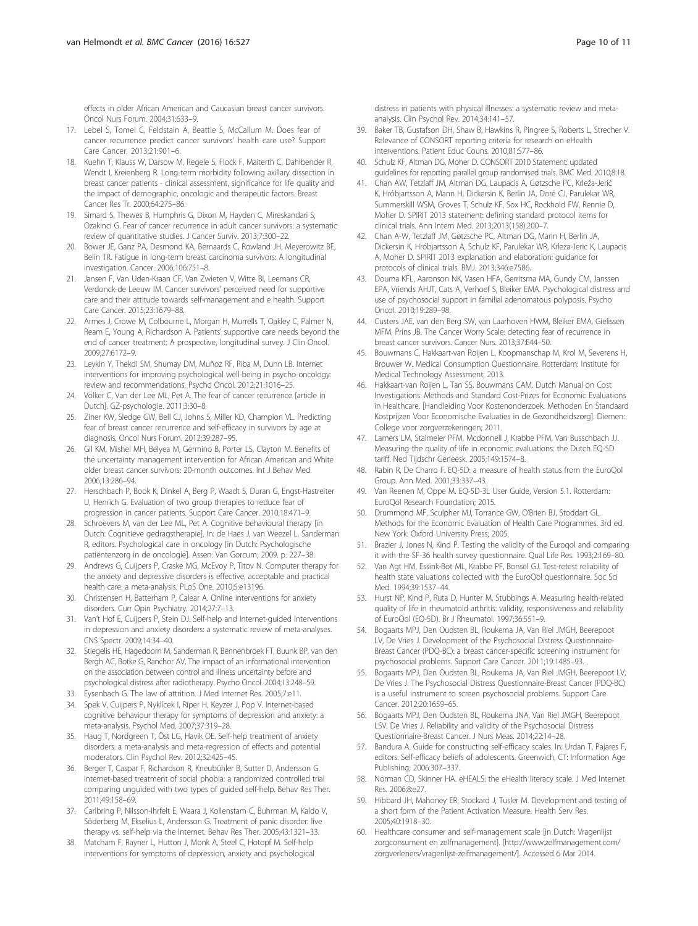<span id="page-9-0"></span>effects in older African American and Caucasian breast cancer survivors. Oncol Nurs Forum. 2004;31:633–9.

- 17. Lebel S, Tomei C, Feldstain A, Beattie S, McCallum M. Does fear of cancer recurrence predict cancer survivors' health care use? Support Care Cancer. 2013;21:901–6.
- 18. Kuehn T, Klauss W, Darsow M, Regele S, Flock F, Maiterth C, Dahlbender R, Wendt I, Kreienberg R. Long-term morbidity following axillary dissection in breast cancer patients - clinical assessment, significance for life quality and the impact of demographic, oncologic and therapeutic factors. Breast Cancer Res Tr. 2000;64:275–86.
- 19. Simard S, Thewes B, Humphris G, Dixon M, Hayden C, Mireskandari S, Ozakinci G. Fear of cancer recurrence in adult cancer survivors: a systematic review of quantitative studies. J Cancer Surviv. 2013;7:300–22.
- 20. Bower JE, Ganz PA, Desmond KA, Bernaards C, Rowland JH, Meyerowitz BE, Belin TR. Fatigue in long-term breast carcinoma survivors: A longitudinal investigation. Cancer. 2006;106:751–8.
- 21. Jansen F, Van Uden-Kraan CF, Van Zwieten V, Witte BI, Leemans CR, Verdonck-de Leeuw IM. Cancer survivors' perceived need for supportive care and their attitude towards self-management and e health. Support Care Cancer. 2015;23:1679–88.
- 22. Armes J, Crowe M, Colbourne L, Morgan H, Murrells T, Oakley C, Palmer N, Ream E, Young A, Richardson A. Patients' supportive care needs beyond the end of cancer treatment: A prospective, longitudinal survey. J Clin Oncol. 2009;27:6172–9.
- 23. Leykin Y, Thekdi SM, Shumay DM, Muñoz RF, Riba M, Dunn LB. Internet interventions for improving psychological well-being in psycho-oncology: review and recommendations. Psycho Oncol. 2012;21:1016–25.
- 24. Völker C, Van der Lee ML, Pet A. The fear of cancer recurrence [article in Dutch]. GZ-psychologie. 2011;3:30–8.
- 25. Ziner KW, Sledge GW, Bell CJ, Johns S, Miller KD, Champion VL. Predicting fear of breast cancer recurrence and self-efficacy in survivors by age at diagnosis. Oncol Nurs Forum. 2012;39:287–95.
- 26. Gil KM, Mishel MH, Belyea M, Germino B, Porter LS, Clayton M. Benefits of the uncertainty management intervention for African American and White older breast cancer survivors: 20-month outcomes. Int J Behav Med. 2006;13:286–94.
- 27. Herschbach P, Book K, Dinkel A, Berg P, Waadt S, Duran G, Engst-Hastreiter U, Henrich G. Evaluation of two group therapies to reduce fear of progression in cancer patients. Support Care Cancer. 2010;18:471–9.
- 28. Schroevers M, van der Lee ML, Pet A. Cognitive behavioural therapy [in Dutch: Cognitieve gedragstherapie]. In: de Haes J, van Weezel L, Sanderman R, editors. Psychological care in oncology [in Dutch: Psychologische patiëntenzorg in de oncologie]. Assen: Van Gorcum; 2009. p. 227–38.
- 29. Andrews G, Cuijpers P, Craske MG, McEvoy P, Titov N. Computer therapy for the anxiety and depressive disorders is effective, acceptable and practical health care: a meta-analysis. PLoS One. 2010;5:e13196.
- 30. Christensen H, Batterham P, Calear A. Online interventions for anxiety disorders. Curr Opin Psychiatry. 2014;27:7–13.
- 31. Van't Hof E, Cuijpers P, Stein DJ. Self-help and Internet-guided interventions in depression and anxiety disorders: a systematic review of meta-analyses. CNS Spectr. 2009;14:34–40.
- 32. Stiegelis HE, Hagedoorn M, Sanderman R, Bennenbroek FT, Buunk BP, van den Bergh AC, Botke G, Ranchor AV. The impact of an informational intervention on the association between control and illness uncertainty before and psychological distress after radiotherapy. Psycho Oncol. 2004;13:248–59.
- 33. Eysenbach G. The law of attrition. J Med Internet Res. 2005;7:e11.
- 34. Spek V, Cuijpers P, Nyklícek I, Riper H, Keyzer J, Pop V. Internet-based cognitive behaviour therapy for symptoms of depression and anxiety: a meta-analysis. Psychol Med. 2007;37:319–28.
- 35. Haug T, Nordgreen T, Öst LG, Havik OE. Self-help treatment of anxiety disorders: a meta-analysis and meta-regression of effects and potential moderators. Clin Psychol Rev. 2012;32:425–45.
- 36. Berger T, Caspar F, Richardson R, Kneubühler B, Sutter D, Andersson G. Internet-based treatment of social phobia: a randomized controlled trial comparing unguided with two types of guided self-help. Behav Res Ther. 2011;49:158–69.
- 37. Carlbring P, Nilsson-Ihrfelt E, Waara J, Kollenstam C, Buhrman M, Kaldo V, Söderberg M, Ekselius L, Andersson G. Treatment of panic disorder: live therapy vs. self-help via the Internet. Behav Res Ther. 2005;43:1321–33.
- 38. Matcham F, Rayner L, Hutton J, Monk A, Steel C, Hotopf M. Self-help interventions for symptoms of depression, anxiety and psychological

distress in patients with physical illnesses: a systematic review and metaanalysis. Clin Psychol Rev. 2014;34:141–57.

- 39. Baker TB, Gustafson DH, Shaw B, Hawkins R, Pingree S, Roberts L, Strecher V. Relevance of CONSORT reporting criteria for research on eHealth interventions. Patient Educ Couns. 2010;81:S77–86.
- 40. Schulz KF, Altman DG, Moher D. CONSORT 2010 Statement: updated guidelines for reporting parallel group randomised trials. BMC Med. 2010;8:18.
- 41. Chan AW, Tetzlaff JM, Altman DG, Laupacis A, Gøtzsche PC, Krleža-Jerić K, Hróbjartsson A, Mann H, Dickersin K, Berlin JA, Doré CJ, Parulekar WR, Summerskill WSM, Groves T, Schulz KF, Sox HC, Rockhold FW, Rennie D, Moher D. SPIRIT 2013 statement: defining standard protocol items for clinical trials. Ann Intern Med. 2013;2013(158):200–7.
- 42. Chan A-W, Tetzlaff JM, Gøtzsche PC, Altman DG, Mann H, Berlin JA, Dickersin K, Hróbjartsson A, Schulz KF, Parulekar WR, Krleza-Jeric K, Laupacis A, Moher D. SPIRIT 2013 explanation and elaboration: guidance for protocols of clinical trials. BMJ. 2013;346:e7586.
- 43. Douma KFL, Aaronson NK, Vasen HFA, Gerritsma MA, Gundy CM, Janssen EPA, Vriends AHJT, Cats A, Verhoef S, Bleiker EMA. Psychological distress and use of psychosocial support in familial adenomatous polyposis. Psycho Oncol. 2010;19:289–98.
- 44. Custers JAE, van den Berg SW, van Laarhoven HWM, Bleiker EMA, Gielissen MFM, Prins JB. The Cancer Worry Scale: detecting fear of recurrence in breast cancer survivors. Cancer Nurs. 2013;37:E44–50.
- 45. Bouwmans C, Hakkaart-van Roijen L, Koopmanschap M, Krol M, Severens H, Brouwer W. Medical Consumption Questionnaire. Rotterdam: Institute for Medical Technology Assessment; 2013.
- 46. Hakkaart-van Roijen L, Tan SS, Bouwmans CAM. Dutch Manual on Cost Investigations: Methods and Standard Cost-Prizes for Economic Evaluations in Healthcare. [Handleiding Voor Kostenonderzoek. Methoden En Standaard Kostprijzen Voor Economische Evaluaties in de Gezondheidszorg]. Diemen: College voor zorgverzekeringen; 2011.
- 47. Lamers LM, Stalmeier PFM, Mcdonnell J, Krabbe PFM, Van Busschbach JJ. Measuring the quality of life in economic evaluations: the Dutch EQ-5D tariff. Ned Tijdschr Geneesk. 2005;149:1574–8.
- 48. Rabin R, De Charro F. EQ-5D: a measure of health status from the EuroQol Group. Ann Med. 2001;33:337–43.
- 49. Van Reenen M, Oppe M. EQ-5D-3L User Guide, Version 5.1. Rotterdam: EuroQol Research Foundation; 2015.
- 50. Drummond MF, Sculpher MJ, Torrance GW, O'Brien BJ, Stoddart GL. Methods for the Economic Evaluation of Health Care Programmes. 3rd ed. New York: Oxford University Press; 2005.
- 51. Brazier J, Jones N, Kind P. Testing the validity of the Euroqol and comparing it with the SF-36 health survey questionnaire. Qual Life Res. 1993;2:169–80.
- 52. Van Agt HM, Essink-Bot ML, Krabbe PF, Bonsel GJ. Test-retest reliability of health state valuations collected with the EuroQol questionnaire. Soc Sci Med. 1994;39:1537–44.
- 53. Hurst NP, Kind P, Ruta D, Hunter M, Stubbings A. Measuring health-related quality of life in rheumatoid arthritis: validity, responsiveness and reliability of EuroQol (EQ-5D). Br J Rheumatol. 1997;36:551–9.
- 54. Bogaarts MPJ, Den Oudsten BL, Roukema JA, Van Riel JMGH, Beerepoot LV, De Vries J. Development of the Psychosocial Distress Questionnaire-Breast Cancer (PDQ-BC): a breast cancer-specific screening instrument for psychosocial problems. Support Care Cancer. 2011;19:1485–93.
- 55. Bogaarts MPJ, Den Oudsten BL, Roukema JA, Van Riel JMGH, Beerepoot LV, De Vries J. The Psychosocial Distress Questionnaire-Breast Cancer (PDQ-BC) is a useful instrument to screen psychosocial problems. Support Care Cancer. 2012;20:1659–65.
- 56. Bogaarts MPJ, Den Oudsten BL, Roukema JNA, Van Riel JMGH, Beerepoot LSV, De Vries J. Reliability and validity of the Psychosocial Distress Questionnaire-Breast Cancer. J Nurs Meas. 2014;22:14–28.
- 57. Bandura A. Guide for constructing self-efficacy scales. In: Urdan T, Pajares F, editors. Self-efficacy beliefs of adolescents. Greenwich, CT: Information Age Publishing; 2006:307–337.
- 58. Norman CD, Skinner HA. eHEALS: the eHealth literacy scale. J Med Internet Res. 2006;8:e27.
- 59. Hibbard JH, Mahoney ER, Stockard J, Tusler M. Development and testing of a short form of the Patient Activation Measure. Health Serv Res. 2005;40:1918–30.
- 60. Healthcare consumer and self-management scale [in Dutch: Vragenlijst zorgconsument en zelfmanagement]. [[http://www.zelfmanagement.com/](http://www.zelfmanagement.com/zorgverleners/vragenlijst-zelfmanagement/) [zorgverleners/vragenlijst-zelfmanagement/](http://www.zelfmanagement.com/zorgverleners/vragenlijst-zelfmanagement/)]. Accessed 6 Mar 2014.